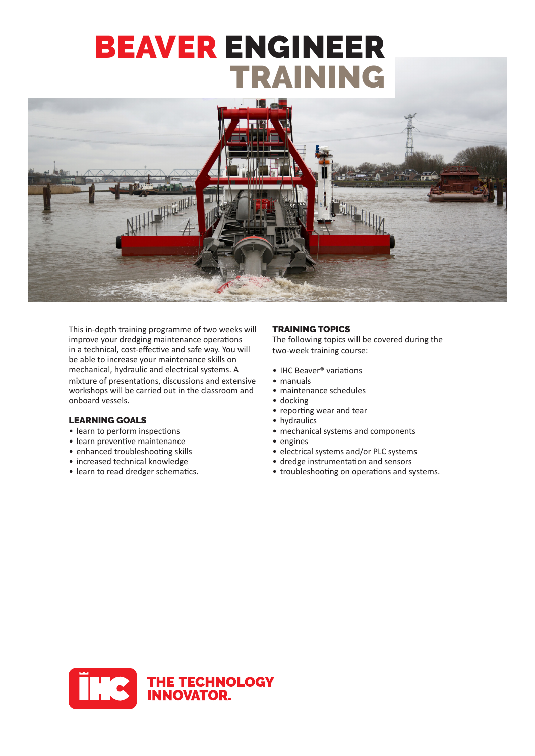# BEAVER ENGINEER TRAINING



This in-depth training programme of two weeks will improve your dredging maintenance operations in a technical, cost-effective and safe way. You will be able to increase your maintenance skills on mechanical, hydraulic and electrical systems. A workshops will be carried out in the classroom and onboard vessels. mixture of presentations, discussions and extensive

#### LEARNING GOALS

- learn to perform inspections
- learn preventive maintenance
- enhanced troubleshooting skills
- increased technical knowledge
- learn to read dredger schematics.

#### TRAINING TOPICS

The following topics will be covered during the two‐week training course:

- IHC Beaver<sup>®</sup> variations<br>• manuals
- - maintenance schedules
	- docking
	- reporting wear and tear
	- hydraulics
	- mechanical systems and components
	- engines
	- electrical systems and/or PLC systems
	- dredge instrumentation and sensors
	- troubleshooting on operations and systems.